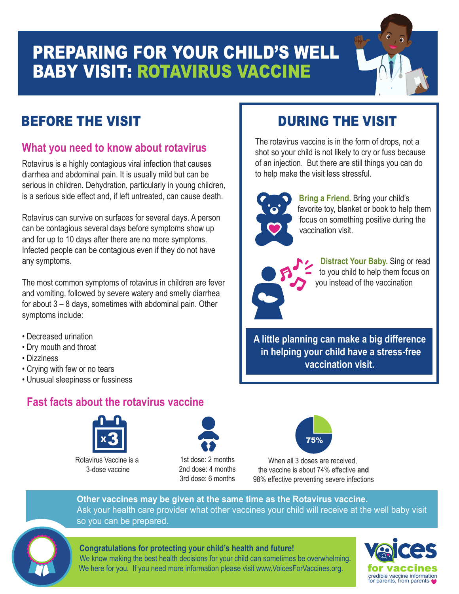## PREPARING FOR YOUR CHILD'S WELL BABY VISIT: ROTAVIRUS VACCINE

## BEFORE THE VISIT **DURING THE VISIT**

### **What you need to know about rotavirus**

Rotavirus is a highly contagious viral infection that causes diarrhea and abdominal pain. It is usually mild but can be serious in children. Dehydration, particularly in young children, is a serious side effect and, if left untreated, can cause death.

Rotavirus can survive on surfaces for several days. A person can be contagious several days before symptoms show up and for up to 10 days after there are no more symptoms. Infected people can be contagious even if they do not have any symptoms.

The most common symptoms of rotavirus in children are fever and vomiting, followed by severe watery and smelly diarrhea for about 3 – 8 days, sometimes with abdominal pain. Other symptoms include:

- Decreased urination
- Dry mouth and throat
- Dizziness
- Crying with few or no tears
- Unusual sleepiness or fussiness

### **Fast facts about the rotavirus vaccine**



Rotavirus Vaccine is a 3-dose vaccine



1st dose: 2 months 2nd dose: 4 months 3rd dose: 6 months



When all 3 doses are received, the vaccine is about 74% effective **and** 98% effective preventing severe infections

### **Other vaccines may be given at the same time as the Rotavirus vaccine.**  Ask your health care provider what other vaccines your child will receive at the well baby visit so you can be prepared.



### **Congratulations for protecting your child's health and future!**

We know making the best health decisions for your child can sometimes be overwhelming. We here for you. If you need more information please visit www.VoicesForVaccines.org.



The rotavirus vaccine is in the form of drops, not a shot so your child is not likely to cry or fuss because of an injection. But there are still things you can do to help make the visit less stressful.



favorite toy, blanket or book to help them focus on something positive during the vaccination visit.

**Bring a Friend.** Bring your child's



**Distract Your Baby.** Sing or read to you child to help them focus on you instead of the vaccination

**A little planning can make a big difference in helping your child have a stress-free vaccination visit.**